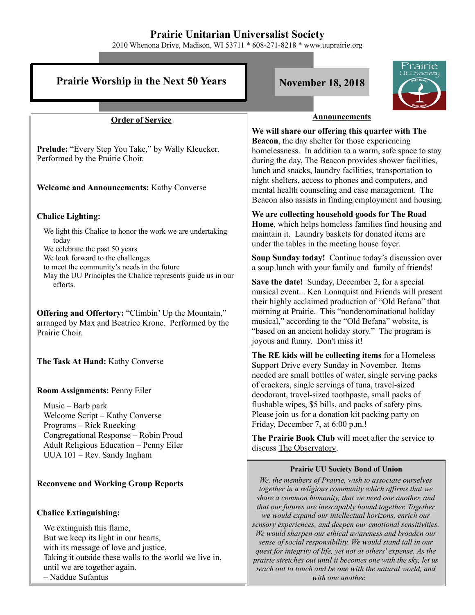# **Prairie Unitarian Universalist Society**

2010 Whenona Drive, Madison, WI 53711 \* 608-271-8218 \* www.uuprairie.org

and the state

|                                                                                                                                                                                                                  | rairie                                                                                                                                                                                                                                                                                                                                                                                                                                                           |  |
|------------------------------------------------------------------------------------------------------------------------------------------------------------------------------------------------------------------|------------------------------------------------------------------------------------------------------------------------------------------------------------------------------------------------------------------------------------------------------------------------------------------------------------------------------------------------------------------------------------------------------------------------------------------------------------------|--|
| <b>Prairie Worship in the Next 50 Years</b>                                                                                                                                                                      | I Societu<br><b>November 18, 2018</b>                                                                                                                                                                                                                                                                                                                                                                                                                            |  |
|                                                                                                                                                                                                                  |                                                                                                                                                                                                                                                                                                                                                                                                                                                                  |  |
| <b>Order of Service</b>                                                                                                                                                                                          | <b>Announcements</b>                                                                                                                                                                                                                                                                                                                                                                                                                                             |  |
| Prelude: "Every Step You Take," by Wally Kleucker.<br>Performed by the Prairie Choir.<br><b>Welcome and Announcements: Kathy Converse</b>                                                                        | We will share our offering this quarter with The<br><b>Beacon</b> , the day shelter for those experiencing<br>homelessness. In addition to a warm, safe space to stay<br>during the day, The Beacon provides shower facilities,<br>lunch and snacks, laundry facilities, transportation to<br>night shelters, access to phones and computers, and<br>mental health counseling and case management. The<br>Beacon also assists in finding employment and housing. |  |
| <b>Chalice Lighting:</b>                                                                                                                                                                                         | We are collecting household goods for The Road                                                                                                                                                                                                                                                                                                                                                                                                                   |  |
| We light this Chalice to honor the work we are undertaking<br>today<br>We celebrate the past 50 years                                                                                                            | Home, which helps homeless families find housing and<br>maintain it. Laundry baskets for donated items are<br>under the tables in the meeting house foyer.                                                                                                                                                                                                                                                                                                       |  |
| We look forward to the challenges<br>to meet the community's needs in the future                                                                                                                                 | Soup Sunday today! Continue today's discussion over<br>a soup lunch with your family and family of friends!                                                                                                                                                                                                                                                                                                                                                      |  |
| May the UU Principles the Chalice represents guide us in our<br>efforts.<br><b>Offering and Offertory: "Climbin' Up the Mountain,"</b><br>arranged by Max and Beatrice Krone. Performed by the<br>Prairie Choir. | Save the date! Sunday, December 2, for a special<br>musical event Ken Lonnquist and Friends will present<br>their highly acclaimed production of "Old Befana" that<br>morning at Prairie. This "nondenominational holiday<br>musical," according to the "Old Befana" website, is<br>"based on an ancient holiday story." The program is<br>joyous and funny. Don't miss it!                                                                                      |  |
| The Task At Hand: Kathy Converse                                                                                                                                                                                 | The RE kids will be collecting items for a Homeless<br>Support Drive every Sunday in November. Items<br>needed are small bottles of water, single serving packs                                                                                                                                                                                                                                                                                                  |  |
| <b>Room Assignments: Penny Eiler</b>                                                                                                                                                                             | of crackers, single servings of tuna, travel-sized<br>deodorant, travel-sized toothpaste, small packs of                                                                                                                                                                                                                                                                                                                                                         |  |
| $Music - Barb$ park<br>Welcome Script - Kathy Converse<br>Programs - Rick Ruecking                                                                                                                               | flushable wipes, \$5 bills, and packs of safety pins.<br>Please join us for a donation kit packing party on<br>Friday, December 7, at 6:00 p.m.!                                                                                                                                                                                                                                                                                                                 |  |
| Congregational Response - Robin Proud<br>Adult Religious Education - Penny Eiler<br>UUA 101 - Rev. Sandy Ingham                                                                                                  | The Prairie Book Club will meet after the service to<br>discuss The Observatory.                                                                                                                                                                                                                                                                                                                                                                                 |  |
|                                                                                                                                                                                                                  | <b>Prairie UU Society Bond of Union</b>                                                                                                                                                                                                                                                                                                                                                                                                                          |  |
| <b>Reconvene and Working Group Reports</b>                                                                                                                                                                       | We, the members of Prairie, wish to associate ourselves<br>together in a religious community which affirms that we<br>share a common humanity, that we need one another, and                                                                                                                                                                                                                                                                                     |  |
| <b>Chalice Extinguishing:</b>                                                                                                                                                                                    | that our futures are inescapably bound together. Together<br>we would expand our intellectual horizons, enrich our                                                                                                                                                                                                                                                                                                                                               |  |
| We extinguish this flame,<br>But we keep its light in our hearts,                                                                                                                                                | sensory experiences, and deepen our emotional sensitivities.<br>We would sharpen our ethical awareness and broaden our<br>sense of social responsibility. We would stand tall in our                                                                                                                                                                                                                                                                             |  |

*quest for integrity of life, yet not at others' expense. As the prairie stretches out until it becomes one with the sky, let us reach out to touch and be one with the natural world, and with one another.* 

But we keep its light in our hearts, with its message of love and justice, Taking it outside these walls to the world we live in, until we are together again.

– Naddue Sufantus